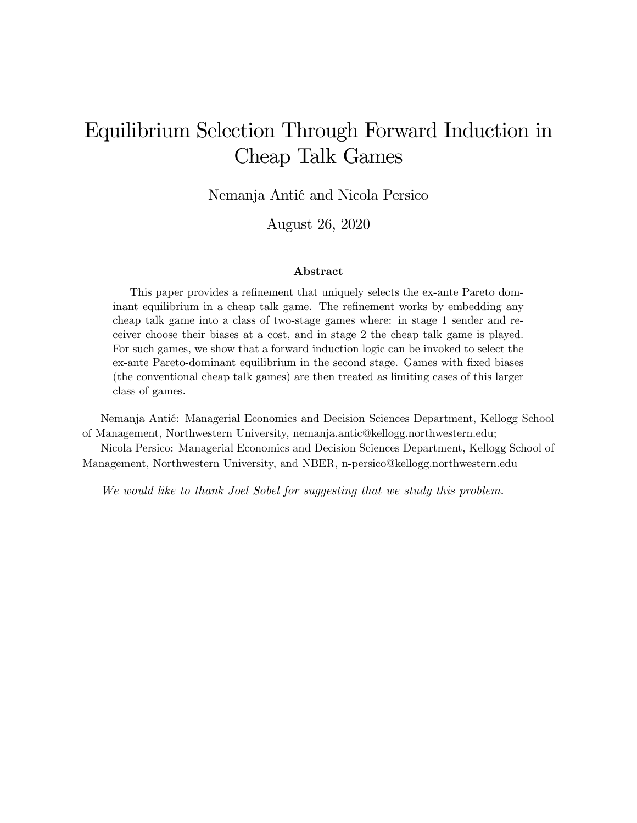# Equilibrium Selection Through Forward Induction in Cheap Talk Games

Nemanja Antić and Nicola Persico

August 26, 2020

#### Abstract

This paper provides a refinement that uniquely selects the ex-ante Pareto dominant equilibrium in a cheap talk game. The refinement works by embedding any cheap talk game into a class of two-stage games where: in stage 1 sender and receiver choose their biases at a cost, and in stage 2 the cheap talk game is played. For such games, we show that a forward induction logic can be invoked to select the ex-ante Pareto-dominant equilibrium in the second stage. Games with Öxed biases (the conventional cheap talk games) are then treated as limiting cases of this larger class of games.

Nemanja Antić: Managerial Economics and Decision Sciences Department, Kellogg School of Management, Northwestern University, nemanja.antic@kellogg.northwestern.edu;

Nicola Persico: Managerial Economics and Decision Sciences Department, Kellogg School of Management, Northwestern University, and NBER, n-persico@kellogg.northwestern.edu

We would like to thank Joel Sobel for suggesting that we study this problem.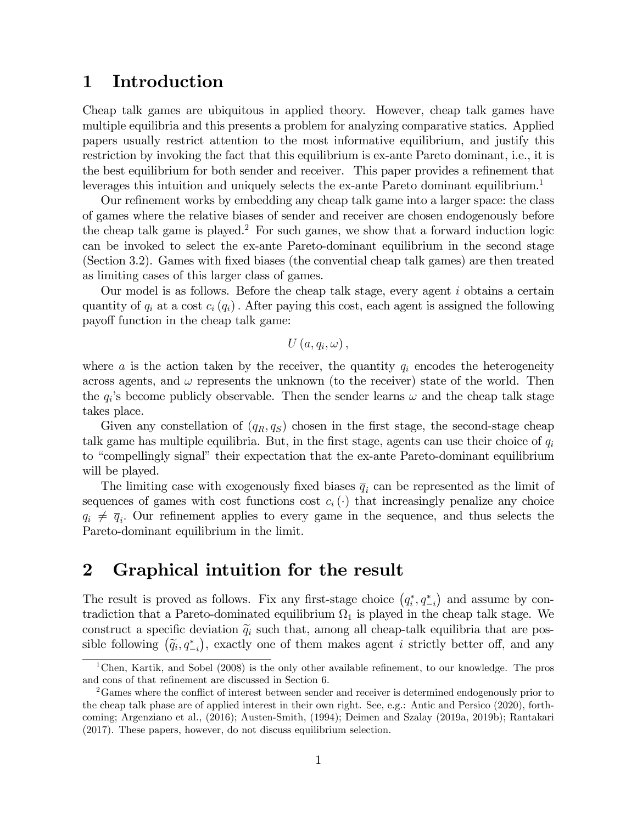### 1 Introduction

Cheap talk games are ubiquitous in applied theory. However, cheap talk games have multiple equilibria and this presents a problem for analyzing comparative statics. Applied papers usually restrict attention to the most informative equilibrium, and justify this restriction by invoking the fact that this equilibrium is ex-ante Pareto dominant, i.e., it is the best equilibrium for both sender and receiver. This paper provides a refinement that leverages this intuition and uniquely selects the ex-ante Pareto dominant equilibrium.<sup>1</sup>

Our refinement works by embedding any cheap talk game into a larger space: the class of games where the relative biases of sender and receiver are chosen endogenously before the cheap talk game is played.<sup>2</sup> For such games, we show that a forward induction logic can be invoked to select the ex-ante Pareto-dominant equilibrium in the second stage (Section 3.2). Games with fixed biases (the convential cheap talk games) are then treated as limiting cases of this larger class of games.

Our model is as follows. Before the cheap talk stage, every agent  $i$  obtains a certain quantity of  $q_i$  at a cost  $c_i(q_i)$ . After paying this cost, each agent is assigned the following payoff function in the cheap talk game:

 $U\left(a,q_i,\omega\right),$ 

where a is the action taken by the receiver, the quantity  $q_i$  encodes the heterogeneity across agents, and  $\omega$  represents the unknown (to the receiver) state of the world. Then the  $q_i$ 's become publicly observable. Then the sender learns  $\omega$  and the cheap talk stage takes place.

Given any constellation of  $(q_R, q_S)$  chosen in the first stage, the second-stage cheap talk game has multiple equilibria. But, in the first stage, agents can use their choice of  $q_i$ to "compellingly signal" their expectation that the ex-ante Pareto-dominant equilibrium will be played.

The limiting case with exogenously fixed biases  $\overline{q}_i$  can be represented as the limit of sequences of games with cost functions cost  $c_i(\cdot)$  that increasingly penalize any choice  $q_i \neq \overline{q}_i$ . Our refinement applies to every game in the sequence, and thus selects the Pareto-dominant equilibrium in the limit.

### 2 Graphical intuition for the result

The result is proved as follows. Fix any first-stage choice  $(q_i^*, q_{-i}^*)$  and assume by contradiction that a Pareto-dominated equilibrium  $\Omega_1$  is played in the cheap talk stage. We construct a specific deviation  $\tilde{q}_i$  such that, among all cheap-talk equilibria that are possible following  $(\tilde{q}_i, q_{-i}^*)$ , exactly one of them makes agent *i* strictly better off, and any

<sup>&</sup>lt;sup>1</sup>Chen, Kartik, and Sobel (2008) is the only other available refinement, to our knowledge. The pros and cons of that refinement are discussed in Section 6.

<sup>&</sup>lt;sup>2</sup>Games where the conflict of interest between sender and receiver is determined endogenously prior to the cheap talk phase are of applied interest in their own right. See, e.g.: Antic and Persico (2020), forthcoming; Argenziano et al., (2016); Austen-Smith, (1994); Deimen and Szalay (2019a, 2019b); Rantakari (2017). These papers, however, do not discuss equilibrium selection.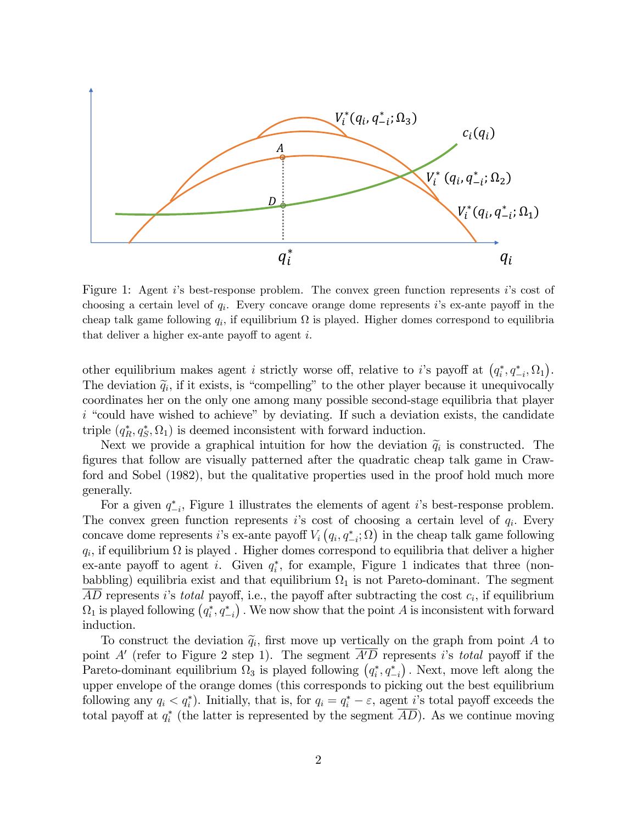

Figure 1: Agent i's best-response problem. The convex green function represents i's cost of choosing a certain level of  $q_i$ . Every concave orange dome represents is ex-ante payoff in the cheap talk game following  $q_i$ , if equilibrium  $\Omega$  is played. Higher domes correspond to equilibria that deliver a higher ex-ante payoff to agent  $i$ .

other equilibrium makes agent *i* strictly worse off, relative to *i*'s payoff at  $(q_i^*, q_{-i}^*, \Omega_1)$ . The deviation  $\tilde{q}_i$ , if it exists, is "compelling" to the other player because it unequivocally coordinates her on the only one among many possible second-stage equilibria that player  $i$  "could have wished to achieve" by deviating. If such a deviation exists, the candidate triple  $(q_R^*, q_S^*, \Omega_1)$  is deemed inconsistent with forward induction.

Next we provide a graphical intuition for how the deviation  $\tilde{q}_i$  is constructed. The Ögures that follow are visually patterned after the quadratic cheap talk game in Crawford and Sobel (1982), but the qualitative properties used in the proof hold much more generally.

For a given  $q_{-i}^*$ , Figure 1 illustrates the elements of agent *i*'s best-response problem. The convex green function represents is cost of choosing a certain level of  $q_i$ . Every concave dome represents i's ex-ante payoff  $V_i(q_i, q_{-i}^*; \Omega)$  in the cheap talk game following  $q_i$ , if equilibrium  $\Omega$  is played. Higher domes correspond to equilibria that deliver a higher ex-ante payoff to agent i. Given  $q_i^*$ , for example, Figure 1 indicates that three (nonbabbling) equilibria exist and that equilibrium  $\Omega_1$  is not Pareto-dominant. The segment AD represents i's total payoff, i.e., the payoff after subtracting the cost  $c_i$ , if equilibrium  $\Omega_1$  is played following  $(q_i^*, q_{-i}^*)$ . We now show that the point A is inconsistent with forward induction.

To construct the deviation  $\tilde{q}_i$ , first move up vertically on the graph from point A to point A' (refer to Figure 2 step 1). The segment  $A'D$  represents is total payoff if the Pareto-dominant equilibrium  $\Omega_3$  is played following  $(q_i^*, q_{-i}^*)$ . Next, move left along the upper envelope of the orange domes (this corresponds to picking out the best equilibrium following any  $q_i < q_i^*$ ). Initially, that is, for  $q_i = q_i^* - \varepsilon$ , agent *i*'s total payoff exceeds the total payoff at  $q_i^*$  (the latter is represented by the segment  $AD$ ). As we continue moving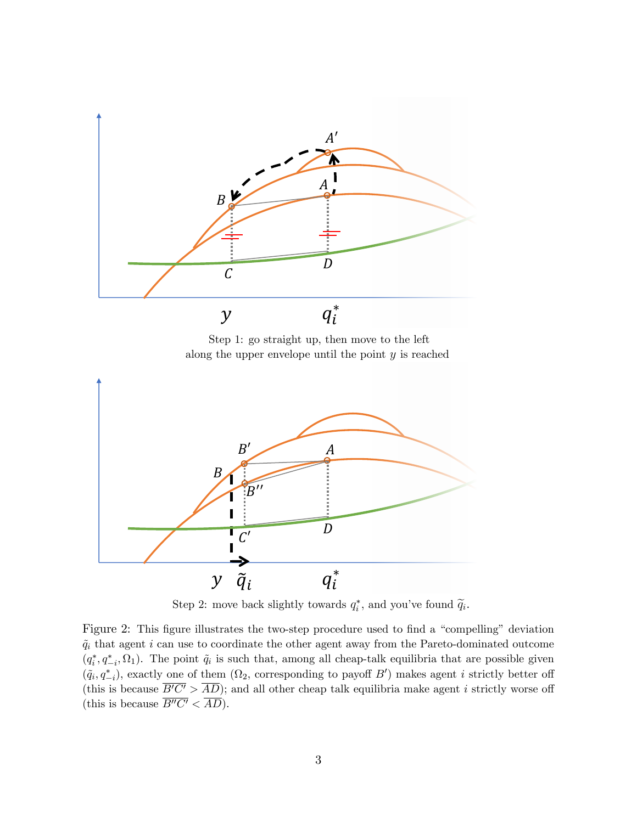

Step 1: go straight up, then move to the left along the upper envelope until the point  $y$  is reached



Step 2: move back slightly towards  $q_i^*$ , and you've found  $\widetilde{q}_i$ .

Figure 2: This figure illustrates the two-step procedure used to find a "compelling" deviation  $\tilde{q}_i$  that agent i can use to coordinate the other agent away from the Pareto-dominated outcome  $(q_i^*, q_{-i}^*, \Omega_1)$ . The point  $\tilde{q}_i$  is such that, among all cheap-talk equilibria that are possible given  $({\tilde q}_i, q_{-i}^*)$ , exactly one of them  $(\Omega_2$ , corresponding to payoff B') makes agent i strictly better of (this is because  $\overline{B'C'} > \overline{AD}$ ); and all other cheap talk equilibria make agent *i* strictly worse off (this is because  $\overline{B''C'} < \overline{AD}$ ).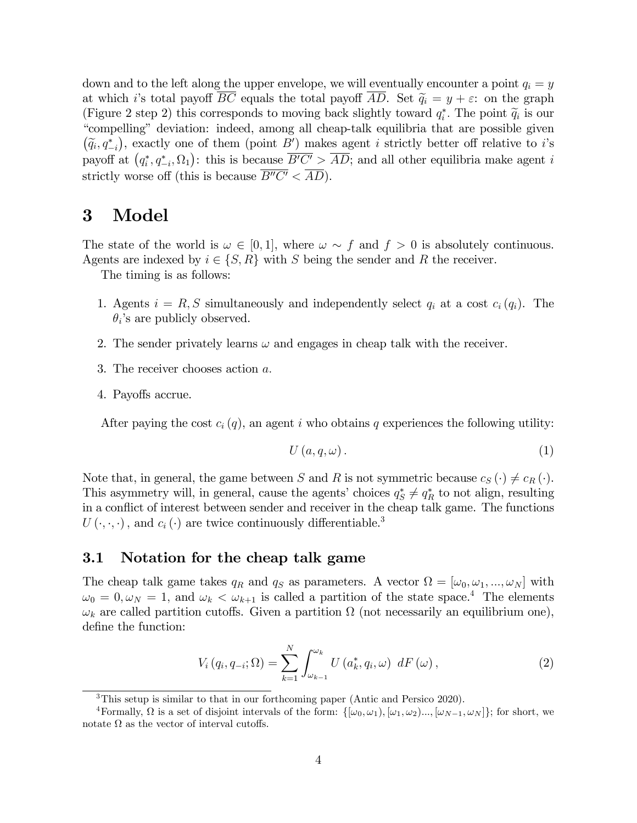down and to the left along the upper envelope, we will eventually encounter a point  $q_i = y$ at which i's total payoff  $\overline{BC}$  equals the total payoff  $\overline{AD}$ . Set  $\tilde{q}_i = y + \varepsilon$ : on the graph (Figure 2 step 2) this corresponds to moving back slightly toward  $q_i^*$ . The point  $\widetilde{q}_i$  is our "secondline" decision indeed among all character to the possible decision is the contracted and the contracted and the ìcompellingî deviation: indeed, among all cheap-talk equilibria that are possible given  $(\widetilde{q}_i, q_{-i}^*)$ , exactly one of them (point B') makes agent *i* strictly better off relative to *i*'s payoff at  $(q_i^*, q_{-i}^*, \Omega_1)$ : this is because  $\overline{B'C'} > \overline{AD}$ ; and all other equilibria make agent i strictly worse off (this is because  $\overline{B''C'} < \overline{AD}$ ).

### 3 Model

The state of the world is  $\omega \in [0, 1]$ , where  $\omega \sim f$  and  $f > 0$  is absolutely continuous. Agents are indexed by  $i \in \{S, R\}$  with S being the sender and R the receiver.

The timing is as follows:

- 1. Agents  $i = R, S$  simultaneously and independently select  $q_i$  at a cost  $c_i(q_i)$ . The  $\theta_i$ 's are publicly observed.
- 2. The sender privately learns  $\omega$  and engages in cheap talk with the receiver.
- 3. The receiver chooses action  $a$ .
- 4. Payoffs accrue.

After paying the cost  $c_i(q)$ , an agent i who obtains q experiences the following utility:

$$
U\left(a,q,\omega\right). \tag{1}
$$

Note that, in general, the game between S and R is not symmetric because  $c_S(\cdot) \neq c_R(\cdot)$ . This asymmetry will, in general, cause the agents' choices  $q_S^* \neq q_R^*$  to not align, resulting in a conflict of interest between sender and receiver in the cheap talk game. The functions  $U(\cdot,\cdot,\cdot)$ , and  $c_i(\cdot)$  are twice continuously differentiable.<sup>3</sup>

#### 3.1 Notation for the cheap talk game

The cheap talk game takes  $q_R$  and  $q_S$  as parameters. A vector  $\Omega = [\omega_0, \omega_1, ..., \omega_N]$  with  $\omega_0 = 0, \omega_N = 1$ , and  $\omega_k < \omega_{k+1}$  is called a partition of the state space.<sup>4</sup> The elements  $\omega_k$  are called partition cutoffs. Given a partition  $\Omega$  (not necessarily an equilibrium one), define the function:

$$
V_i(q_i, q_{-i}; \Omega) = \sum_{k=1}^{N} \int_{\omega_{k-1}}^{\omega_k} U\left(a_k^*, q_i, \omega\right) dF\left(\omega\right), \qquad (2)
$$

<sup>3</sup>This setup is similar to that in our forthcoming paper (Antic and Persico 2020).

Formally,  $\Omega$  is a set of disjoint intervals of the form:  $\{[\omega_0, \omega_1), [\omega_1, \omega_2], ..., [\omega_{N-1}, \omega_N]\}$ ; for short, we notate  $\Omega$  as the vector of interval cutoffs.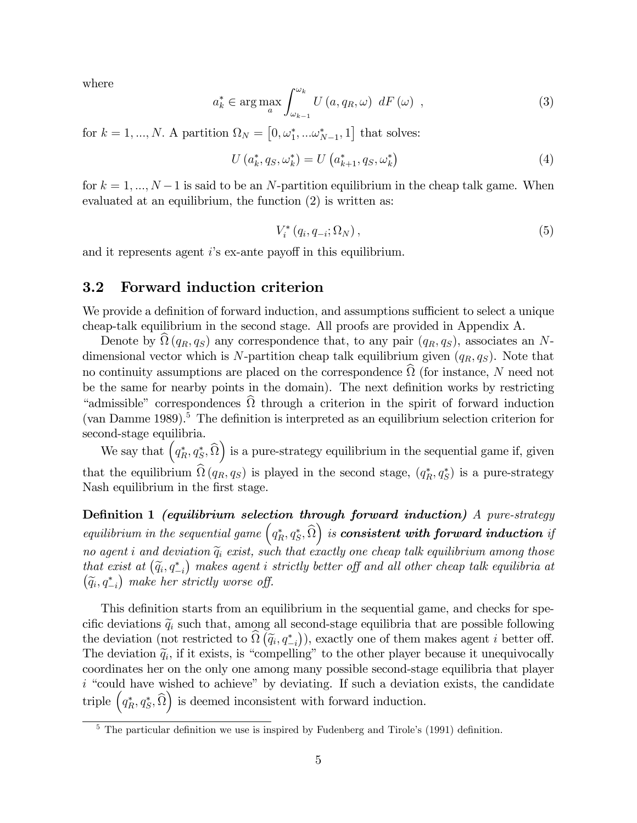where

$$
a_{k}^{*} \in \arg \max_{a} \int_{\omega_{k-1}}^{\omega_{k}} U\left(a, q_{R}, \omega\right) dF\left(\omega\right) , \qquad (3)
$$

for  $k = 1, ..., N$ . A partition  $\Omega_N = [0, \omega_1^*, ... \omega_{N-1}^*, 1]$  that solves:

$$
U(a_k^*, q_S, \omega_k^*) = U(a_{k+1}^*, q_S, \omega_k^*)
$$
\n(4)

for  $k = 1, ..., N - 1$  is said to be an N-partition equilibrium in the cheap talk game. When evaluated at an equilibrium, the function (2) is written as:

$$
V_i^* (q_i, q_{-i}; \Omega_N), \qquad (5)
$$

and it represents agent  $i$ 's ex-ante payoff in this equilibrium.

### 3.2 Forward induction criterion

We provide a definition of forward induction, and assumptions sufficient to select a unique cheap-talk equilibrium in the second stage. All proofs are provided in Appendix A.

Denote by  $\Omega(q_R, q_S)$  any correspondence that, to any pair  $(q_R, q_S)$ , associates an Ndimensional vector which is N-partition cheap talk equilibrium given  $(q_R, q_S)$ . Note that no continuity assumptions are placed on the correspondence  $\Omega$  (for instance, N need not be the same for nearby points in the domain). The next definition works by restricting "admissible" correspondences  $\Omega$  through a criterion in the spirit of forward induction (van Damme 1989).<sup>5</sup> The definition is interpreted as an equilibrium selection criterion for second-stage equilibria.

We say that  $\left(q_R^*, q_S^*, \widehat{\Omega}\right)$ ) is a pure-strategy equilibrium in the sequential game if, given that the equilibrium  $\Omega(q_R, q_S)$  is played in the second stage,  $(q_R^*, q_S^*)$  is a pure-strategy Nash equilibrium in the first stage.

Definition 1 (equilibrium selection through forward induction) A pure-strategy equilibrium in the sequential game  $(q_R^*, q_S^*, \widehat{\Omega})$  $\big)$  is consistent with forward induction if no agent i and deviation  $\tilde{q}_i$  exist, such that exactly one cheap talk equilibrium among those that exist at  $(\widetilde{q}_i, q_{-i}^*)$  makes agent i strictly better off and all other cheap talk equilibria at  $(\widetilde{q}_i, q_{-i}^*)$  make her strictly worse off.

This definition starts from an equilibrium in the sequential game, and checks for specific deviations  $\tilde{q}_i$  such that, among all second-stage equilibria that are possible following the deviation (not restricted to  $\widehat{\Omega}(\widetilde{q}_i, q_{-i}^*)$ ), exactly one of them makes agent *i* better off. The deviation  $\tilde{q}_i$ , if it exists, is "compelling" to the other player because it unequivocally coordinates her on the only one among many possible second-stage equilibria that player  $i$  "could have wished to achieve" by deviating. If such a deviation exists, the candidate triple  $\left(q_R^*, q_S^*, \widehat{\Omega}\right)$ ) is deemed inconsistent with forward induction.

 $5$  The particular definition we use is inspired by Fudenberg and Tirole's (1991) definition.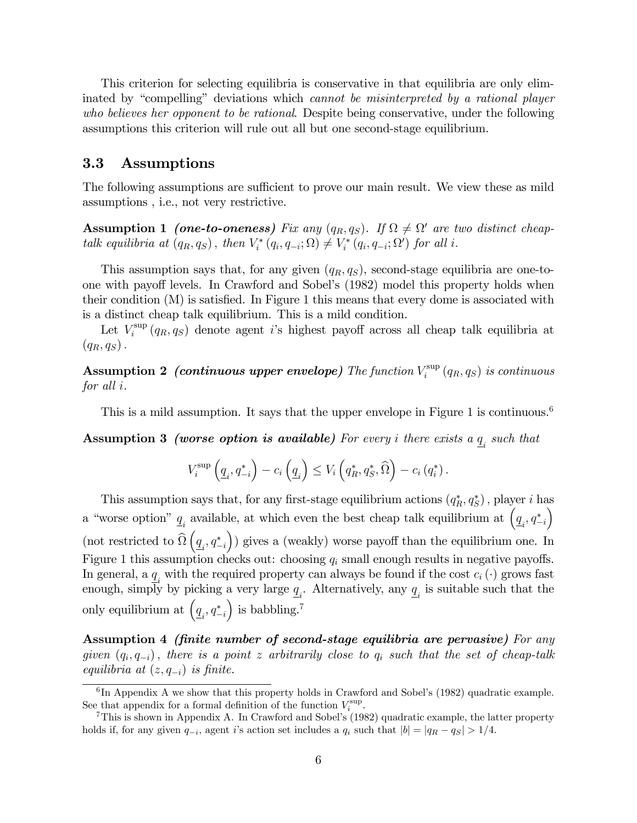This criterion for selecting equilibria is conservative in that equilibria are only eliminated by "compelling" deviations which *cannot be misinterpreted by a rational player* who believes her opponent to be rational. Despite being conservative, under the following assumptions this criterion will rule out all but one second-stage equilibrium.

#### 3.3 Assumptions

The following assumptions are sufficient to prove our main result. We view these as mild assumptions , i.e., not very restrictive.

**Assumption 1** (one-to-oneness) Fix any  $(q_R, q_S)$ . If  $\Omega \neq \Omega'$  are two distinct cheaptalk equilibria at  $(q_R, q_S)$ , then  $V_i^*(q_i, q_{-i}; \Omega) \neq V_i^*(q_i, q_{-i}; \Omega')$  for all i.

This assumption says that, for any given  $(q_R, q_S)$ , second-stage equilibria are one-toone with payoff levels. In Crawford and Sobel's (1982) model this property holds when their condition  $(M)$  is satisfied. In Figure 1 this means that every dome is associated with is a distinct cheap talk equilibrium. This is a mild condition.

Let  $V_i^{\text{sup}}$ <sup>sup</sup>  $(q_R, q_S)$  denote agent *i*'s highest payoff across all cheap talk equilibria at  $(q_R, q_S)$ .

Assumption 2 (continuous upper envelope) The function  $V_i^{\text{sup}}$  $\int_i^{\text{sup}}\left(q_R,q_S\right)$  is continuous for all i.

This is a mild assumption. It says that the upper envelope in Figure 1 is continuous.<sup>6</sup>

**Assumption 3 (worse option is available)** For every i there exists a  $\underline{q}_i$  such that

$$
V_i^{\text{sup}}\left(\underline{q}_i, q_{-i}^*\right) - c_i\left(\underline{q}_i\right) \leq V_i\left(q_R^*, q_S^*, \widehat{\Omega}\right) - c_i\left(q_i^*\right).
$$

This assumption says that, for any first-stage equilibrium actions  $(q_R^*, q_S^*)$ , player *i* has a "worse option"  $\underline{q}_i$  available, at which even the best cheap talk equilibrium at  $(\underline{q}_i, q_{-i}^*)$  $\setminus$ (not restricted to  $\Omega$  $\left(\underline{q}_i, q^*_{-i}\right)$ )) gives a (weakly) worse payoff than the equilibrium one. In Figure 1 this assumption checks out: choosing  $q_i$  small enough results in negative payoffs. In general, a  $\underline{q}_i$  with the required property can always be found if the cost  $c_i(\cdot)$  grows fast enough, simply by picking a very large  $q_i$ . Alternatively, any  $q_i$  is suitable such that the only equilibrium at  $(q_{i}, q_{-i}^{*})$ ) is babbling.<sup>7</sup>

Assumption 4 *(finite number of second-stage equilibria are pervasive)* For any given  $(q_i, q_{-i})$ , there is a point z arbitrarily close to  $q_i$  such that the set of cheap-talk equilibria at  $(z, q_{-i})$  is finite.

 ${}^{6}$ In Appendix A we show that this property holds in Crawford and Sobel's (1982) quadratic example. See that appendix for a formal definition of the function  $V_i^{\text{sup}}$ .

<sup>&</sup>lt;sup>7</sup>This is shown in Appendix A. In Crawford and Sobel's  $(1982)$  quadratic example, the latter property holds if, for any given  $q_{-i}$ , agent i's action set includes a  $q_i$  such that  $|b| = |q_R - q_S| > 1/4$ .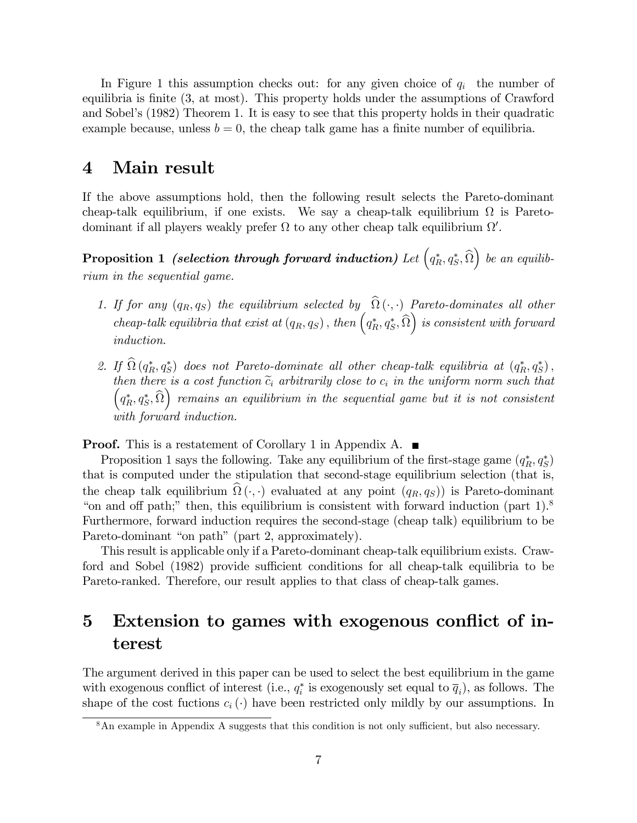In Figure 1 this assumption checks out: for any given choice of  $q_i$  the number of equilibria is finite (3, at most). This property holds under the assumptions of Crawford and Sobel's (1982) Theorem 1. It is easy to see that this property holds in their quadratic example because, unless  $b = 0$ , the cheap talk game has a finite number of equilibria.

### 4 Main result

If the above assumptions hold, then the following result selects the Pareto-dominant cheap-talk equilibrium, if one exists. We say a cheap-talk equilibrium  $\Omega$  is Paretodominant if all players weakly prefer  $\Omega$  to any other cheap talk equilibrium  $\Omega'$ .

 $\bf{Proposition~1}$  (selection through forward induction) Let  $\left(q_R^*,q_S^*,\widehat{\Omega}\right)$  $\big)$  be an equilibrium in the sequential game.

- 1. If for any  $(q_R, q_S)$  the equilibrium selected by  $\Omega(\cdot, \cdot)$  Pareto-dominates all other cheap-talk equilibria that exist at  $(q_R, q_S)$ , then  $(q_R^*, q_S^*, \hat{\Omega})$  $\big)$  is consistent with forward induction.
- 2. If  $\Omega(q_R^*, q_S^*)$  does not Pareto-dominate all other cheap-talk equilibria at  $(q_R^*, q_S^*)$ , then there is a cost function  $\tilde{c}_i$  arbitrarily close to  $c_i$  in the uniform norm such that  $\Big(q_R^\ast,q_S^\ast,\widehat{\Omega}$  $\bigg)$  remains an equilibrium in the sequential game but it is not consistent with forward induction.

**Proof.** This is a restatement of Corollary 1 in Appendix A. ■

Proposition 1 says the following. Take any equilibrium of the first-stage game  $(q_R^*, q_S^*)$ that is computed under the stipulation that second-stage equilibrium selection (that is, the cheap talk equilibrium  $\Omega(\cdot, \cdot)$  evaluated at any point  $(q_R, q_S)$  is Pareto-dominant "on and off path;" then, this equilibrium is consistent with forward induction (part  $1$ ).<sup>8</sup> Furthermore, forward induction requires the second-stage (cheap talk) equilibrium to be Pareto-dominant "on path" (part 2, approximately).

This result is applicable only if a Pareto-dominant cheap-talk equilibrium exists. Crawford and Sobel (1982) provide sufficient conditions for all cheap-talk equilibria to be Pareto-ranked. Therefore, our result applies to that class of cheap-talk games.

## 5 Extension to games with exogenous conflict of interest

The argument derived in this paper can be used to select the best equilibrium in the game with exogenous conflict of interest (i.e.,  $q_i^*$  is exogenously set equal to  $\overline{q}_i$ ), as follows. The shape of the cost fuctions  $c_i(\cdot)$  have been restricted only mildly by our assumptions. In

 $8$ An example in Appendix A suggests that this condition is not only sufficient, but also necessary.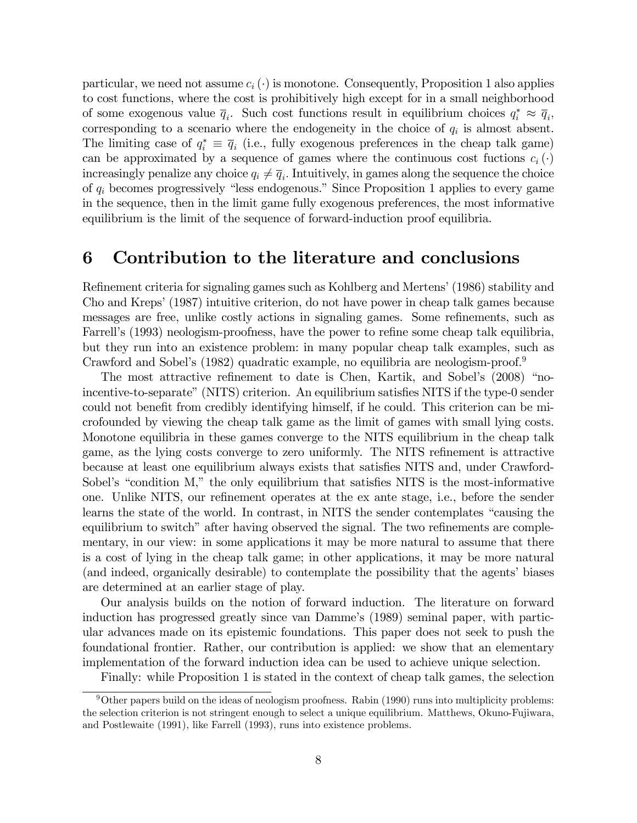particular, we need not assume  $c_i(\cdot)$  is monotone. Consequently, Proposition 1 also applies to cost functions, where the cost is prohibitively high except for in a small neighborhood of some exogenous value  $\overline{q}_i$ . Such cost functions result in equilibrium choices  $q_i^* \approx \overline{q}_i$ , corresponding to a scenario where the endogeneity in the choice of  $q_i$  is almost absent. The limiting case of  $q_i^* \equiv \overline{q}_i$  (i.e., fully exogenous preferences in the cheap talk game) can be approximated by a sequence of games where the continuous cost fuctions  $c_i(\cdot)$ increasingly penalize any choice  $q_i \neq \overline{q}_i$ . Intuitively, in games along the sequence the choice of  $q_i$  becomes progressively "less endogenous." Since Proposition 1 applies to every game in the sequence, then in the limit game fully exogenous preferences, the most informative equilibrium is the limit of the sequence of forward-induction proof equilibria.

### 6 Contribution to the literature and conclusions

Refinement criteria for signaling games such as Kohlberg and Mertens' (1986) stability and Cho and Kreps' (1987) intuitive criterion, do not have power in cheap talk games because messages are free, unlike costly actions in signaling games. Some refinements, such as Farrell's (1993) neologism-proofness, have the power to refine some cheap talk equilibria, but they run into an existence problem: in many popular cheap talk examples, such as Crawford and Sobel's (1982) quadratic example, no equilibria are neologism-proof.<sup>9</sup>

The most attractive refinement to date is Chen, Kartik, and Sobel's (2008) "noincentive-to-separate" (NITS) criterion. An equilibrium satisfies NITS if the type-0 sender could not benefit from credibly identifying himself, if he could. This criterion can be microfounded by viewing the cheap talk game as the limit of games with small lying costs. Monotone equilibria in these games converge to the NITS equilibrium in the cheap talk game, as the lying costs converge to zero uniformly. The NITS refinement is attractive because at least one equilibrium always exists that satisfies NITS and, under Crawford-Sobel's "condition  $M$ ," the only equilibrium that satisfies NITS is the most-informative one. Unlike NITS, our refinement operates at the ex ante stage, i.e., before the sender learns the state of the world. In contrast, in NITS the sender contemplates "causing the equilibrium to switch" after having observed the signal. The two refinements are complementary, in our view: in some applications it may be more natural to assume that there is a cost of lying in the cheap talk game; in other applications, it may be more natural (and indeed, organically desirable) to contemplate the possibility that the agents' biases are determined at an earlier stage of play.

Our analysis builds on the notion of forward induction. The literature on forward induction has progressed greatly since van Damme's (1989) seminal paper, with particular advances made on its epistemic foundations. This paper does not seek to push the foundational frontier. Rather, our contribution is applied: we show that an elementary implementation of the forward induction idea can be used to achieve unique selection.

Finally: while Proposition 1 is stated in the context of cheap talk games, the selection

 $9$ Other papers build on the ideas of neologism proofness. Rabin (1990) runs into multiplicity problems: the selection criterion is not stringent enough to select a unique equilibrium. Matthews, Okuno-Fujiwara, and Postlewaite (1991), like Farrell (1993), runs into existence problems.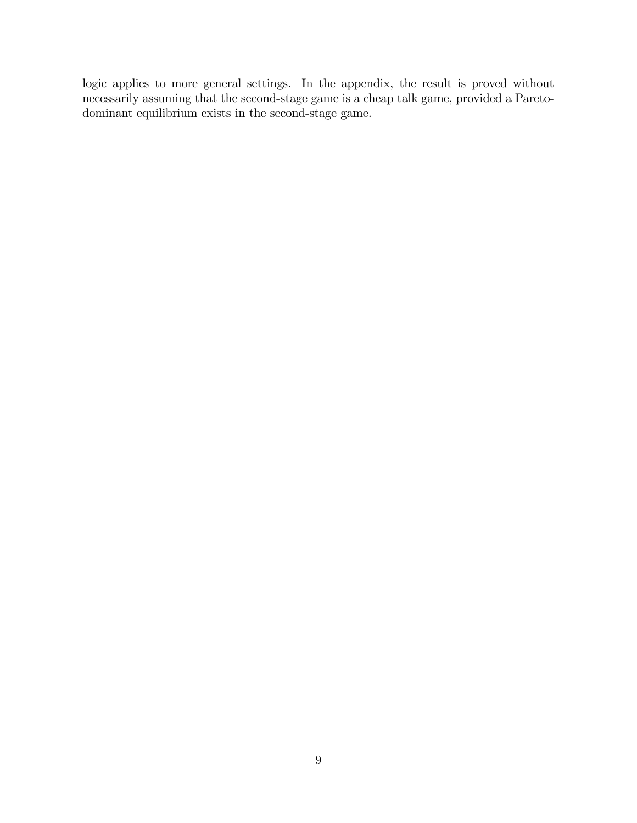logic applies to more general settings. In the appendix, the result is proved without necessarily assuming that the second-stage game is a cheap talk game, provided a Paretodominant equilibrium exists in the second-stage game.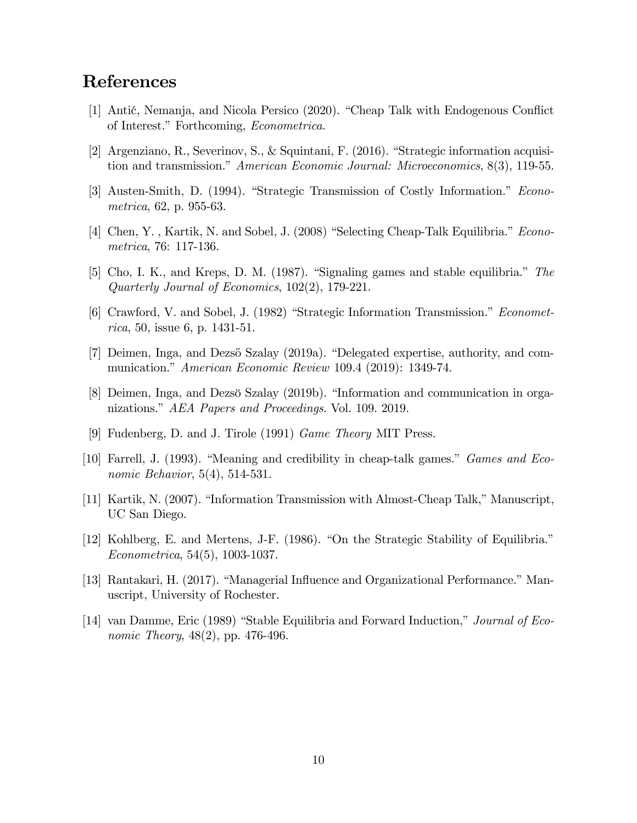## References

- [1] Antić, Nemanja, and Nicola Persico (2020). "Cheap Talk with Endogenous Conflict of Interest." Forthcoming, *Econometrica*.
- [2] Argenziano, R., Severinov, S., & Squintani, F. (2016). "Strategic information acquisition and transmission." American Economic Journal: Microeconomics,  $8(3)$ , 119-55.
- [3] Austen-Smith, D. (1994). "Strategic Transmission of Costly Information." *Econo*metrica, 62, p. 955-63.
- [4] Chen, Y., Kartik, N. and Sobel, J.  $(2008)$  "Selecting Cheap-Talk Equilibria." Econometrica, 76: 117-136.
- [5] Cho, I. K., and Kreps, D. M. (1987). "Signaling games and stable equilibria." The Quarterly Journal of Economics, 102(2), 179-221.
- $[6]$  Crawford, V. and Sobel, J.  $(1982)$  "Strategic Information Transmission." *Economet*rica, 50, issue 6, p. 1431-51.
- [7] Deimen, Inga, and Dezső Szalay (2019a). "Delegated expertise, authority, and communication." American Economic Review 109.4 (2019): 1349-74.
- [8] Deimen, Inga, and Dezsö Szalay (2019b). "Information and communication in organizations." AEA Papers and Proceedings. Vol. 109. 2019.
- [9] Fudenberg, D. and J. Tirole (1991) Game Theory MIT Press.
- [10] Farrell, J. (1993). "Meaning and credibility in cheap-talk games." Games and Economic Behavior, 5(4), 514-531.
- [11] Kartik, N. (2007). "Information Transmission with Almost-Cheap Talk," Manuscript, UC San Diego.
- $[12]$  Kohlberg, E. and Mertens, J-F.  $(1986)$ . "On the Strategic Stability of Equilibria." Econometrica, 54(5), 1003-1037.
- [13] Rantakari, H. (2017). "Managerial Influence and Organizational Performance." Manuscript, University of Rochester.
- [14] van Damme, Eric (1989) "Stable Equilibria and Forward Induction," Journal of Economic Theory, 48(2), pp. 476-496.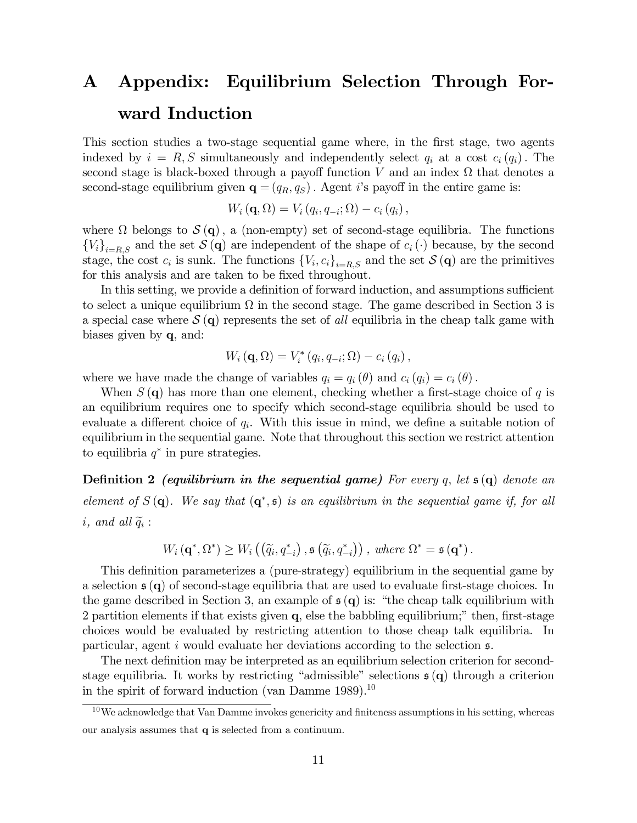# A Appendix: Equilibrium Selection Through Forward Induction

This section studies a two-stage sequential game where, in the first stage, two agents indexed by  $i = R, S$  simultaneously and independently select  $q_i$  at a cost  $c_i(q_i)$ . The second stage is black-boxed through a payoff function V and an index  $\Omega$  that denotes a second-stage equilibrium given  $\mathbf{q} = (q_R, q_S)$ . Agent is payoff in the entire game is:

$$
W_i(\mathbf{q},\Omega)=V_i(q_i,q_{-i};\Omega)-c_i(q_i),
$$

where  $\Omega$  belongs to  $\mathcal{S}(\mathbf{q})$ , a (non-empty) set of second-stage equilibria. The functions  ${V_i}_{i=R,S}$  and the set  $S(\mathbf{q})$  are independent of the shape of  $c_i(\cdot)$  because, by the second stage, the cost  $c_i$  is sunk. The functions  $\{V_i, c_i\}_{i=R,S}$  and the set  $\mathcal{S}(\mathbf{q})$  are the primitives for this analysis and are taken to be fixed throughout.

In this setting, we provide a definition of forward induction, and assumptions sufficient to select a unique equilibrium  $\Omega$  in the second stage. The game described in Section 3 is a special case where  $\mathcal{S}(\mathbf{q})$  represents the set of all equilibria in the cheap talk game with biases given by q, and:

$$
W_i\left(\mathbf{q},\Omega\right)=V_i^*\left(q_i,q_{-i};\Omega\right)-c_i\left(q_i\right),\,
$$

where we have made the change of variables  $q_i = q_i (\theta)$  and  $c_i (q_i) = c_i (\theta)$ .

When  $S(\mathbf{q})$  has more than one element, checking whether a first-stage choice of q is an equilibrium requires one to specify which second-stage equilibria should be used to evaluate a different choice of  $q_i$ . With this issue in mind, we define a suitable notion of equilibrium in the sequential game. Note that throughout this section we restrict attention to equilibria  $q^*$  in pure strategies.

**Definition 2** (equilibrium in the sequential game) For every q, let  $\mathfrak{s}(q)$  denote an element of  $S(\mathbf{q})$ . We say that  $(\mathbf{q}^*, \mathfrak{s})$  is an equilibrium in the sequential game if, for all  $i, \text{ and all } \widetilde{q}_i$ :

$$
W_i(\mathbf{q}^*,\Omega^*) \geq W_i\left(\left(\widetilde{q}_i,q_{-i}^*\right),\mathfrak{s}\left(\widetilde{q}_i,q_{-i}^*\right)\right),\text{ where }\Omega^*=\mathfrak{s}\left(\mathbf{q}^*\right).
$$

This definition parameterizes a (pure-strategy) equilibrium in the sequential game by a selection  $\mathfrak{s}(\mathbf{q})$  of second-stage equilibria that are used to evaluate first-stage choices. In the game described in Section 3, an example of  $\mathfrak{s}(\mathbf{q})$  is: "the cheap talk equilibrium with 2 partition elements if that exists given  $q$ , else the babbling equilibrium; $\degree$  then, first-stage choices would be evaluated by restricting attention to those cheap talk equilibria. In particular, agent  $i$  would evaluate her deviations according to the selection  $\mathfrak{s}$ .

The next definition may be interpreted as an equilibrium selection criterion for secondstage equilibria. It works by restricting "admissible" selections  $\mathfrak{s}(\mathbf{q})$  through a criterion in the spirit of forward induction (van Damme 1989).<sup>10</sup>

 $10$ We acknowledge that Van Damme invokes genericity and finiteness assumptions in his setting, whereas our analysis assumes that q is selected from a continuum.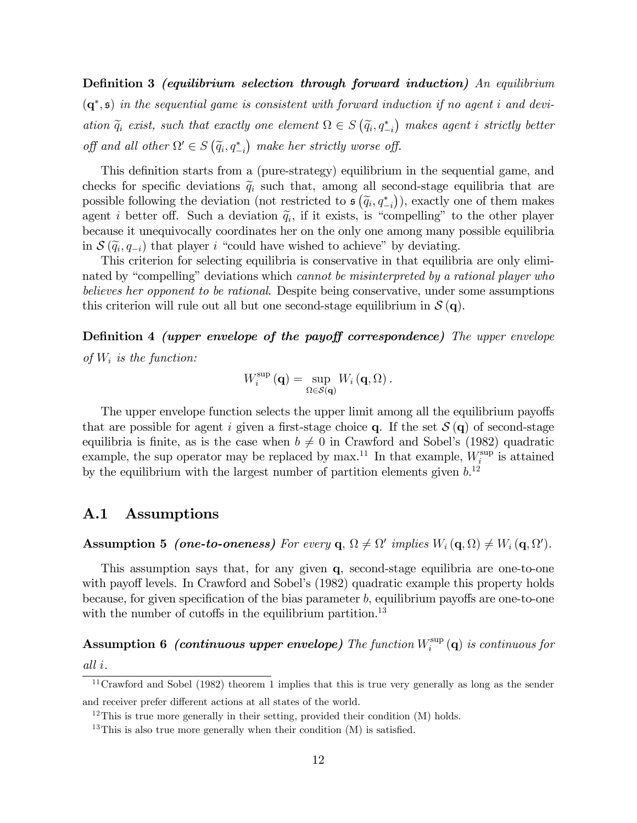**Definition 3** (equilibrium selection through forward induction) An equilibrium  $(q^*, \mathfrak{s})$  in the sequential game is consistent with forward induction if no agent i and deviation  $\tilde{q}_i$  exist, such that exactly one element  $\Omega \in S(\tilde{q}_i, q_{-i}^*)$  makes agent i strictly better off and all other  $\Omega' \in S(\tilde{q}_i, q_{-i}^*)$  make her strictly worse off.

This definition starts from a (pure-strategy) equilibrium in the sequential game, and checks for specific deviations  $\tilde{q}_i$  such that, among all second-stage equilibria that are possible following the deviation (not restricted to  $\mathfrak{s}(\tilde{q}_i, q_{-i}^*)$ ), exactly one of them makes agent *i* better off. Such a deviation  $\tilde{q}_i$ , if it exists, is "compelling" to the other player because it unequivocally coordinates her on the only one among many possible equilibria in  $\mathcal{S}(\widetilde{q}_i, q_{-i})$  that player i "could have wished to achieve" by deviating.

This criterion for selecting equilibria is conservative in that equilibria are only eliminated by "compelling" deviations which *cannot be misinterpreted by a rational player who* believes her opponent to be rational. Despite being conservative, under some assumptions this criterion will rule out all but one second-stage equilibrium in  $\mathcal{S}(\mathbf{q})$ .

Definition 4 (upper envelope of the payoff correspondence) The upper envelope of  $W_i$  is the function:

$$
W_i^{\sup}\left(\mathbf{q}\right)=\sup_{\Omega\in\mathcal{S}\left(\mathbf{q}\right)}W_i\left(\mathbf{q},\Omega\right).
$$

The upper envelope function selects the upper limit among all the equilibrium payoffs that are possible for agent i given a first-stage choice q. If the set  $\mathcal{S}(\mathbf{q})$  of second-stage equilibria is finite, as is the case when  $b \neq 0$  in Crawford and Sobel's (1982) quadratic example, the sup operator may be replaced by max.<sup>11</sup> In that example,  $W_i^{\text{sup}}$  $i$ <sup>sup</sup> is attained by the equilibrium with the largest number of partition elements given  $b$ <sup>12</sup>

### A.1 Assumptions

**Assumption 5** (one-to-oneness) For every  $\mathbf{q}, \Omega \neq \Omega'$  implies  $W_i(\mathbf{q}, \Omega) \neq W_i(\mathbf{q}, \Omega')$ .

This assumption says that, for any given q, second-stage equilibria are one-to-one with payoff levels. In Crawford and Sobel's (1982) quadratic example this property holds because, for given specification of the bias parameter  $b$ , equilibrium payoffs are one-to-one with the number of cutoffs in the equilibrium partition.<sup>13</sup>

Assumption 6 (continuous upper envelope) The function  $W_i^{\text{sup}}$  $\int_i^{\text{sup}} (\mathbf{q})$  is continuous for all i.

 $11$ Crawford and Sobel (1982) theorem 1 implies that this is true very generally as long as the sender and receiver prefer different actions at all states of the world.

 $12$ This is true more generally in their setting, provided their condition  $(M)$  holds.

<sup>&</sup>lt;sup>13</sup>This is also true more generally when their condition  $(M)$  is satisfied.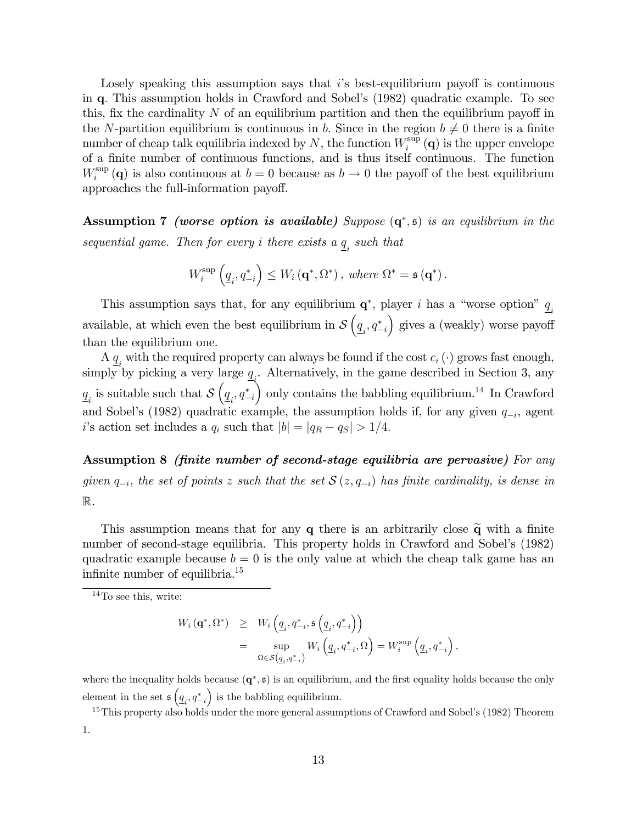Losely speaking this assumption says that  $i$ 's best-equilibrium payoff is continuous in q: This assumption holds in Crawford and Sobelís (1982) quadratic example. To see this, fix the cardinality  $N$  of an equilibrium partition and then the equilibrium payoff in the N-partition equilibrium is continuous in b. Since in the region  $b \neq 0$  there is a finite number of cheap talk equilibria indexed by N, the function  $W_i^{\text{sup}}$  $i_{i}^{\sup}(\mathbf{q})$  is the upper envelope of a finite number of continuous functions, and is thus itself continuous. The function  $W_i^{\text{sup}}$ <sup>sup</sup> (q) is also continuous at  $b = 0$  because as  $b \to 0$  the payoff of the best equilibrium approaches the full-information payoff.

Assumption 7 (worse option is available) Suppose  $(q^*, s)$  is an equilibrium in the sequential game. Then for every *i* there exists a  $\underline{q}_i$  such that

$$
W_i^{\sup} \left( \underline{q}_i, q_{-i}^* \right) \leq W_i \left( \mathbf{q}^*, \Omega^* \right), \text{ where } \Omega^* = \mathfrak{s} \left( \mathbf{q}^* \right).
$$

This assumption says that, for any equilibrium  $\mathbf{q}^*$ , player *i* has a "worse option"  $\underline{q}_i$ available, at which even the best equilibrium in  $\mathcal{S}\left(\underline{q}_i, q_{-i}^*\right)$  $\sum$  gives a (weakly) worse payoff than the equilibrium one.

A  $q_i$  with the required property can always be found if the cost  $c_i(\cdot)$  grows fast enough, simply by picking a very large  $\underline{q}_i$ . Alternatively, in the game described in Section 3, any  $\underline{q}_i$  is suitable such that  $\mathcal{S}\left(\underline{q}_i, q_{-i}^*\right)$ only contains the babbling equilibrium.<sup>14</sup> In Crawford and Sobel's (1982) quadratic example, the assumption holds if, for any given  $q_{-i}$ , agent i's action set includes a  $q_i$  such that  $|b| = |q_R - q_S| > 1/4$ .

Assumption 8 *(finite number of second-stage equilibria are pervasive)* For any given  $q_{-i}$ , the set of points z such that the set  $\mathcal{S} (z,q_{-i})$  has finite cardinality, is dense in R.

This assumption means that for any  $q$  there is an arbitrarily close  $\tilde{q}$  with a finite number of second-stage equilibria. This property holds in Crawford and Sobel's (1982) quadratic example because  $b = 0$  is the only value at which the cheap talk game has an infinite number of equilibria.<sup>15</sup>

$$
W_{i}(\mathbf{q}^{*},\Omega^{*}) \geq W_{i}\left(\underline{q}_{i},\underline{q}_{-i}^{*},\mathfrak{s}\left(\underline{q}_{i},\underline{q}_{-i}^{*}\right)\right)
$$
  

$$
= \sup_{\Omega \in \mathcal{S}\left(\underline{q}_{i},\underline{q}_{-i}^{*}\right)} W_{i}\left(\underline{q}_{i},\underline{q}_{-i}^{*},\Omega\right) = W_{i}^{\sup}\left(\underline{q}_{i},\underline{q}_{-i}^{*}\right),
$$

where the inequality holds because  $(q^*, s)$  is an equilibrium, and the first equality holds because the only element in the set  $\mathfrak{s} \left( \underline{q}_i, q_{-i}^* \right)$ ) is the babbling equilibrium.

 $^{15}$ This property also holds under the more general assumptions of Crawford and Sobel's (1982) Theorem 1.

 $14$ To see this, write: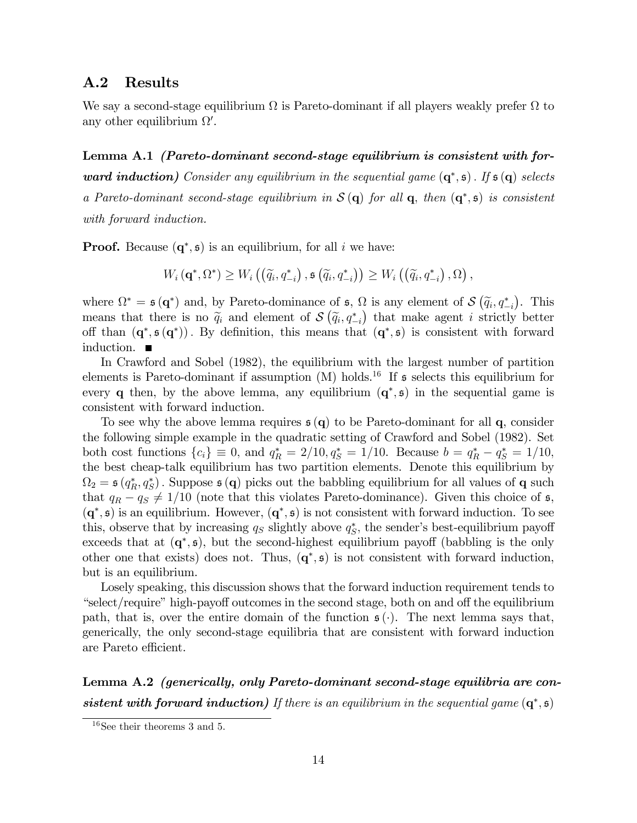### A.2 Results

We say a second-stage equilibrium  $\Omega$  is Pareto-dominant if all players weakly prefer  $\Omega$  to any other equilibrium  $\Omega'$ .

Lemma A.1 *(Pareto-dominant second-stage equilibrium is consistent with for***ward induction)** Consider any equilibrium in the sequential game  $(q^*, s)$ . If  $s(q)$  selects a Pareto-dominant second-stage equilibrium in  $S(q)$  for all  $q$ , then  $(q^*, \mathfrak{s})$  is consistent with forward induction.

**Proof.** Because  $(q^*, \mathfrak{s})$  is an equilibrium, for all i we have:

$$
W_i\left(\mathbf{q}^*,\Omega^*\right)\geq W_i\left(\left(\widetilde{q}_i,q_{-i}^*\right),\mathfrak{s}\left(\widetilde{q}_i,q_{-i}^*\right)\right)\geq W_i\left(\left(\widetilde{q}_i,q_{-i}^*\right),\Omega\right),
$$

where  $\Omega^* = \mathfrak{s}(\mathbf{q}^*)$  and, by Pareto-dominance of  $\mathfrak{s}, \Omega$  is any element of  $\mathcal{S}(\widetilde{q}_i, q_{-i}^*)$ . This means that there is no  $\tilde{q}_i$  and element of  $\mathcal{S}(\tilde{q}_i, q_{-i}^*)$  that make agent i strictly better off than  $(q^*, s(q^*))$ . By definition, this means that  $(q^*, s)$  is consistent with forward induction.

In Crawford and Sobel (1982), the equilibrium with the largest number of partition elements is Pareto-dominant if assumption  $(M)$  holds.<sup>16</sup> If  $\mathfrak s$  selects this equilibrium for every q then, by the above lemma, any equilibrium  $(q^*, s)$  in the sequential game is consistent with forward induction.

To see why the above lemma requires  $\mathfrak{s}(\mathbf{q})$  to be Pareto-dominant for all q, consider the following simple example in the quadratic setting of Crawford and Sobel (1982). Set both cost functions  $\{c_i\} \equiv 0$ , and  $q_R^* = 2/10, q_S^* = 1/10$ . Because  $b = q_R^* - q_S^* = 1/10$ , the best cheap-talk equilibrium has two partition elements. Denote this equilibrium by  $\Omega_2 = \mathfrak{s}(q_R^*, q_S^*)$ . Suppose  $\mathfrak{s}(q)$  picks out the babbling equilibrium for all values of q such that  $q_R - q_S \neq 1/10$  (note that this violates Pareto-dominance). Given this choice of s,  $(q^*, \mathfrak{s})$  is an equilibrium. However,  $(q^*, \mathfrak{s})$  is not consistent with forward induction. To see this, observe that by increasing  $q_S$  slightly above  $q_S^*$ , the sender's best-equilibrium payoff exceeds that at  $(q^*, \mathfrak{s})$ , but the second-highest equilibrium payoff (babbling is the only other one that exists) does not. Thus,  $(q^*, \mathfrak{s})$  is not consistent with forward induction, but is an equilibrium.

Losely speaking, this discussion shows that the forward induction requirement tends to  $\degree$ select/require" high-payoff outcomes in the second stage, both on and off the equilibrium path, that is, over the entire domain of the function  $\mathfrak{s}(\cdot)$ . The next lemma says that, generically, the only second-stage equilibria that are consistent with forward induction are Pareto efficient.

Lemma A.2 (generically, only Pareto-dominant second-stage equilibria are consistent with forward induction) If there is an equilibrium in the sequential game  $(q^*, s)$ 

<sup>16</sup>See their theorems 3 and 5.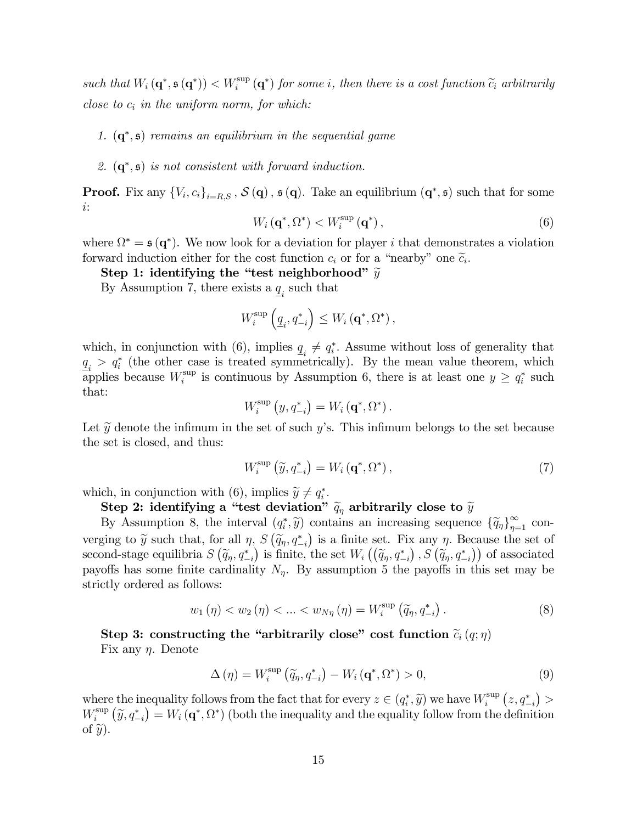such that  $W_i(\mathbf{q}^*, \mathfrak{s}(\mathbf{q}^*))$   $\lt W_i^{\sup}(\mathbf{q}^*)$  for some *i*, then there is a cost function  $\widetilde{c}_i$  arbitrarily close to  $c_i$  in the uniform norm, for which:

#### 1.  $(q^*, s)$  remains an equilibrium in the sequential game

#### 2.  $(q^*, s)$  is not consistent with forward induction.

**Proof.** Fix any  ${V_i, c_i}_{i=R,S}$ ,  $S(\mathbf{q})$ ,  $\mathfrak{s}(\mathbf{q})$ . Take an equilibrium  $(\mathbf{q}^*, \mathfrak{s})$  such that for some i:

$$
W_i\left(\mathbf{q}^*,\Omega^*\right) < W_i^{\text{sup}}\left(\mathbf{q}^*\right),\tag{6}
$$

where  $\Omega^* = \mathfrak{s}(\mathbf{q}^*)$ . We now look for a deviation for player i that demonstrates a violation forward induction either for the cost function  $c_i$  or for a "nearby" one  $\tilde{c}_i$ .<br>
Stern 1: dentifiers a the "thert pointh only only"

Step 1: identifying the "test neighborhood"  $\widetilde{y}$ 

By Assumption 7, there exists a  $\underline{q}_i$  such that

$$
W_i^{\sup} \left( \underline{q}_i, q_{-i}^* \right) \leq W_i \left( \mathbf{q}^*, \Omega^* \right),
$$

which, in conjunction with (6), implies  $q_i \neq q_i^*$ . Assume without loss of generality that  $q_i > q_i^*$  (the other case is treated symmetrically). By the mean value theorem, which applies because  $W_i^{\text{sup}}$ <sup>sup</sup> is continuous by Assumption 6, there is at least one  $y \geq q_i^*$  such that:

$$
W_i^{\text{sup}}\left(y, q_{-i}^*\right) = W_i\left(\mathbf{q}^*, \Omega^*\right).
$$

Let  $\widetilde{y}$  denote the infimum in the set of such y's. This infimum belongs to the set because the set is closed, and thus:

$$
W_i^{\text{sup}}\left(\tilde{y}, q_{-i}^*\right) = W_i\left(\mathbf{q}^*, \Omega^*\right),\tag{7}
$$

which, in conjunction with (6), implies  $\widetilde{y} \neq q_i^*$ .

### Step 2: identifying a "test deviation"  $\widetilde{q}_{\eta}$  arbitrarily close to  $\widetilde{y}$

By Assumption 8, the interval  $(q_i^*, \tilde{y})$  contains an increasing sequence  $\{\tilde{q}_\eta\}_{\eta=1}^\infty$  converging to  $\tilde{y}$  such that, for all  $\eta$ ,  $S(\tilde{q}_\eta, q_{-i}^*)$  is a finite set. Fix any  $\eta$ . Because the set of second-stage equilibria  $S(\tilde{q}_\eta, q_{-i}^*)$  is finite, the set  $W_i((\tilde{q}_\eta, q_{-i}^*)$ ,  $S(\tilde{q}_\eta, q_{-i}^*)$  of associated payoffs has some finite cardinality  $N_{\eta}$ . By assumption 5 the payoffs in this set may be strictly ordered as follows:

$$
w_1(\eta) < w_2(\eta) < \ldots < w_{N\eta}(\eta) = W_i^{\text{sup}}(\widetilde{q}_\eta, q_{-i}^*) \,. \tag{8}
$$

Step 3: constructing the "arbitrarily close" cost function  $\tilde{c}_i(q;\eta)$ Fix any  $\eta$ . Denote

$$
\Delta(\eta) = W_i^{\sup} \left( \tilde{q}_\eta, q_{-i}^* \right) - W_i \left( \mathbf{q}^*, \Omega^* \right) > 0, \tag{9}
$$

where the inequality follows from the fact that for every  $z \in (q_i^*, \tilde{y})$  we have  $W_i^{\text{sup}}$  $\sum_{i}^{\sup} (z, q_{-i}^*)$  $W_i^{\text{sup}}$  $\hat{y}_{i}^{\text{sup}}(\tilde{y}, q_{-i}^{*}) = W_{i}(\mathbf{q}^{*}, \Omega^{*})$  (both the inequality and the equality follow from the definition of  $\widetilde{y}$ ).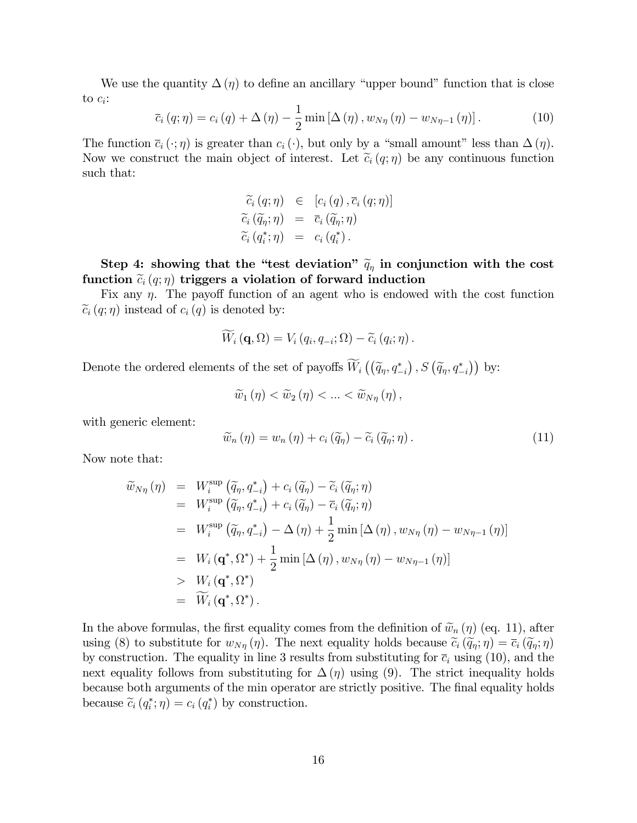We use the quantity  $\Delta(\eta)$  to define an ancillary "upper bound" function that is close to  $c_i$ :

$$
\overline{c}_{i}(q;\eta) = c_{i}(q) + \Delta(\eta) - \frac{1}{2}\min\left[\Delta(\eta), w_{N\eta}(\eta) - w_{N\eta-1}(\eta)\right].
$$
\n(10)

The function  $\bar{c}_i(\cdot;\eta)$  is greater than  $c_i(\cdot)$ , but only by a "small amount" less than  $\Delta(\eta)$ . Now we construct the main object of interest. Let  $\tilde{c}_i(q;\eta)$  be any continuous function such that:

$$
\begin{array}{rcl}\n\widetilde{c}_{i}\left(q;\eta\right) & \in & \left[c_{i}\left(q\right),\overline{c}_{i}\left(q;\eta\right)\right] \\
\widetilde{c}_{i}\left(\widetilde{q}_{\eta};\eta\right) & = & \overline{c}_{i}\left(\widetilde{q}_{\eta};\eta\right) \\
\widetilde{c}_{i}\left(q_{i}^{*};\eta\right) & = & c_{i}\left(q_{i}^{*}\right).\n\end{array}
$$

Step 4: showing that the "test deviation"  $\tilde{q}_{\eta}$  in conjunction with the cost function  $\tilde{c}_i(q;\eta)$  triggers a violation of forward induction

Fix any  $\eta$ . The payoff function of an agent who is endowed with the cost function  $\widetilde{c}_i(q;\eta)$  instead of  $c_i(q)$  is denoted by:

$$
W_i (\mathbf{q}, \Omega) = V_i (q_i, q_{-i}; \Omega) - \widetilde{c}_i (q_i; \eta).
$$

Denote the ordered elements of the set of payoffs  $\widetilde{W}_i\left(\left(\widetilde{q}_\eta,q_{-i}^*\right),S\left(\widetilde{q}_\eta,q_{-i}^*\right)\right)$  by:

$$
\widetilde{w}_1(\eta) < \widetilde{w}_2(\eta) < \ldots < \widetilde{w}_{N\eta}(\eta),
$$

with generic element:

$$
\widetilde{w}_n(\eta) = w_n(\eta) + c_i(\widetilde{q}_\eta) - \widetilde{c}_i(\widetilde{q}_\eta; \eta). \tag{11}
$$

Now note that:

$$
\widetilde{w}_{N\eta}(\eta) = W_i^{\text{sup}}(\widetilde{q}_{\eta}, q_{-i}^*) + c_i(\widetilde{q}_{\eta}) - \widetilde{c}_i(\widetilde{q}_{\eta}; \eta) \n= W_i^{\text{sup}}(\widetilde{q}_{\eta}, q_{-i}^*) + c_i(\widetilde{q}_{\eta}) - \overline{c}_i(\widetilde{q}_{\eta}; \eta) \n= W_i^{\text{sup}}(\widetilde{q}_{\eta}, q_{-i}^*) - \Delta(\eta) + \frac{1}{2} \min [\Delta(\eta), w_{N\eta}(\eta) - w_{N\eta-1}(\eta)] \n= W_i(\mathbf{q}^*, \Omega^*) + \frac{1}{2} \min [\Delta(\eta), w_{N\eta}(\eta) - w_{N\eta-1}(\eta)] \n> W_i(\mathbf{q}^*, \Omega^*) \n= \widetilde{W}_i(\mathbf{q}^*, \Omega^*)
$$

In the above formulas, the first equality comes from the definition of  $\widetilde{w}_n(\eta)$  (eq. 11), after using (8) to substitute for  $w_{N\eta}(\eta)$ . The next equality holds because  $\tilde{c}_i(\tilde{q}_\eta;\eta) = \bar{c}_i(\tilde{q}_\eta;\eta)$ by construction. The equality in line 3 results from substituting for  $\bar{c}_i$  using (10), and the next equality follows from substituting for  $\Delta(\eta)$  using (9). The strict inequality holds because both arguments of the min operator are strictly positive. The final equality holds because  $\tilde{c}_i(q_i^*; \eta) = c_i(q_i^*)$  by construction.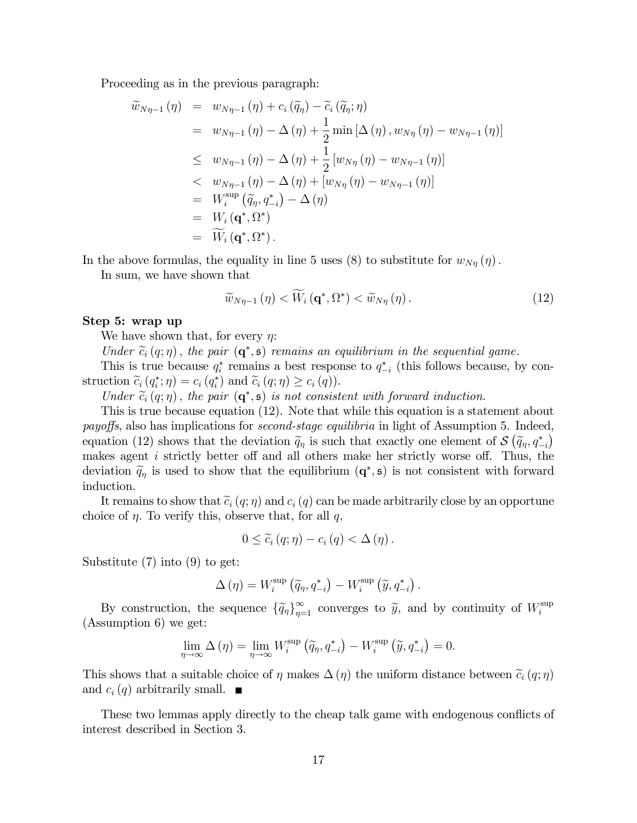Proceeding as in the previous paragraph:

$$
\widetilde{w}_{N\eta-1}(\eta) = w_{N\eta-1}(\eta) + c_i(\widetilde{q}_{\eta}) - \widetilde{c}_i(\widetilde{q}_{\eta}; \eta)
$$
\n
$$
= w_{N\eta-1}(\eta) - \Delta(\eta) + \frac{1}{2} \min [\Delta(\eta), w_{N\eta}(\eta) - w_{N\eta-1}(\eta)]
$$
\n
$$
\leq w_{N\eta-1}(\eta) - \Delta(\eta) + \frac{1}{2} [w_{N\eta}(\eta) - w_{N\eta-1}(\eta)]
$$
\n
$$
< w_{N\eta-1}(\eta) - \Delta(\eta) + [w_{N\eta}(\eta) - w_{N\eta-1}(\eta)]
$$
\n
$$
= W_i^{\sup} (\widetilde{q}_{\eta}, q_{-i}^*) - \Delta(\eta)
$$
\n
$$
= W_i(\mathbf{q}^*, \Omega^*)
$$
\n
$$
= \widetilde{W}_i(\mathbf{q}^*, \Omega^*)
$$

In the above formulas, the equality in line 5 uses (8) to substitute for  $w_{N\eta}(\eta)$ .

In sum, we have shown that

$$
\widetilde{w}_{N\eta-1}(\eta) < \widetilde{W}_i(\mathbf{q}^*, \Omega^*) < \widetilde{w}_{N\eta}(\eta). \tag{12}
$$

#### Step 5: wrap up

We have shown that, for every  $\eta$ :

Under  $\widetilde{c}_i(q;\eta)$ , the pair  $(\mathbf{q}^*,\mathfrak{s})$  remains an equilibrium in the sequential game.

This is true because  $q_i^*$  remains a best response to  $q_{-i}^*$  (this follows because, by con- $\text{struction } \widetilde{c}_i\left(q_i^*;\eta\right) = c_i\left(q_i^*\right) \text{ and } \widetilde{c}_i\left(q;\eta\right) \geq c_i\left(q\right).$ 

Under  $\widetilde{c}_i(q;\eta)$ , the pair  $(\mathbf{q}^*,\mathfrak{s})$  is not consistent with forward induction.

This is true because equation (12). Note that while this equation is a statement about payoffs, also has implications for *second-stage equilibria* in light of Assumption 5. Indeed, equation (12) shows that the deviation  $\tilde{q}_\eta$  is such that exactly one element of  $\mathcal{S}(\tilde{q}_\eta, q_{-i}^*)$ makes agent  $i$  strictly better off and all others make her strictly worse off. Thus, the deviation  $\tilde{q}_\eta$  is used to show that the equilibrium  $(\mathbf{q}^*, \mathfrak{s})$  is not consistent with forward induction.

It remains to show that  $\tilde{c}_i(q;\eta)$  and  $c_i(q)$  can be made arbitrarily close by an opportune choice of  $\eta$ . To verify this, observe that, for all  $q$ ,

$$
0 \leq \widetilde{c}_i (q; \eta) - c_i (q) < \Delta (\eta) .
$$

Substitute (7) into (9) to get:

$$
\Delta(\eta) = W_i^{\text{sup}}(\widetilde{q}_\eta, q_{-i}^*) - W_i^{\text{sup}}(\widetilde{y}, q_{-i}^*)
$$

By construction, the sequence  $\{\tilde{q}_\eta\}_{\eta=1}^\infty$  converges to  $\tilde{y}$ , and by continuity of  $W_i^{\text{sup}}$ i (Assumption 6) we get:

$$
\lim_{\eta \to \infty} \Delta(\eta) = \lim_{\eta \to \infty} W_i^{\text{sup}}(\widetilde{q}_{\eta}, q_{-i}^*) - W_i^{\text{sup}}(\widetilde{y}, q_{-i}^*) = 0.
$$

This shows that a suitable choice of  $\eta$  makes  $\Delta(\eta)$  the uniform distance between  $\tilde{c}_i(q;\eta)$ and  $c_i(q)$  arbitrarily small.  $\blacksquare$ 

These two lemmas apply directly to the cheap talk game with endogenous conflicts of interest described in Section 3.